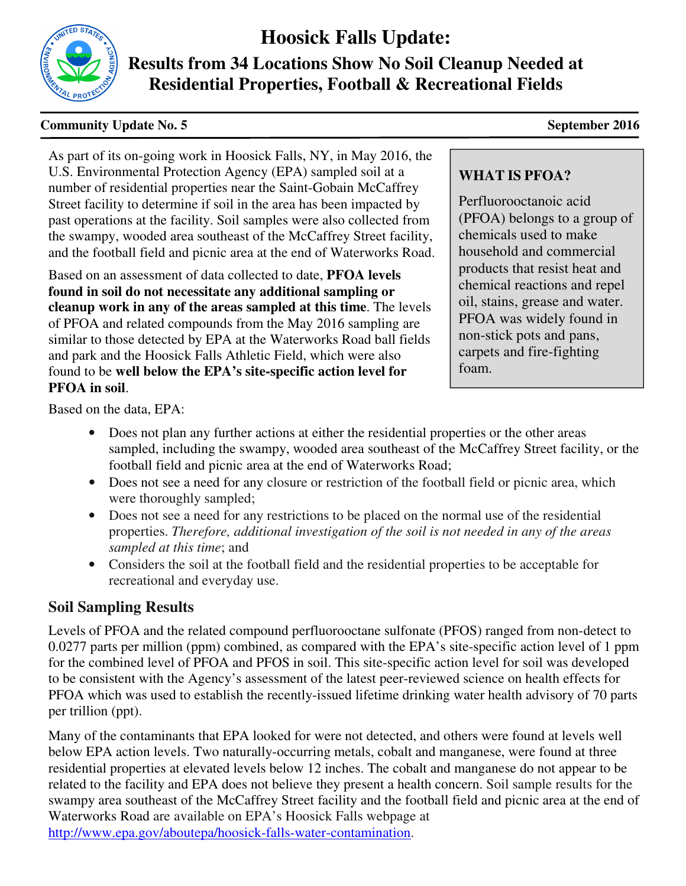

# **Hoosick Falls Update:**

**Results from 34 Locations Show No Soil Cleanup Needed at Residential Properties, Football & Recreational Fields** 

#### **Community Update No. 5** September 2016

As part of its on-going work in Hoosick Falls, NY, in May 2016, the U.S. Environmental Protection Agency (EPA) sampled soil at a number of residential properties near the Saint-Gobain McCaffrey Street facility to determine if soil in the area has been impacted by past operations at the facility. Soil samples were also collected from the swampy, wooded area southeast of the McCaffrey Street facility, and the football field and picnic area at the end of Waterworks Road.

Based on an assessment of data collected to date, **PFOA levels found in soil do not necessitate any additional sampling or cleanup work in any of the areas sampled at this time**. The levels of PFOA and related compounds from the May 2016 sampling are similar to those detected by EPA at the Waterworks Road ball fields and park and the Hoosick Falls Athletic Field, which were also found to be **well below the EPA's site-specific action level for PFOA in soil**.

## **WHAT IS PFOA?**

Perfluorooctanoic acid (PFOA) belongs to a group of chemicals used to make household and commercial products that resist heat and chemical reactions and repel oil, stains, grease and water. PFOA was widely found in non-stick pots and pans, carpets and fire-fighting foam.

Based on the data, EPA:

- Does not plan any further actions at either the residential properties or the other areas sampled, including the swampy, wooded area southeast of the McCaffrey Street facility, or the football field and picnic area at the end of Waterworks Road;
- Does not see a need for any closure or restriction of the football field or picnic area, which were thoroughly sampled;
- Does not see a need for any restrictions to be placed on the normal use of the residential properties. *Therefore, additional investigation of the soil is not needed in any of the areas sampled at this time*; and
- Considers the soil at the football field and the residential properties to be acceptable for recreational and everyday use.

# **Soil Sampling Results**

Levels of PFOA and the related compound perfluorooctane sulfonate (PFOS) ranged from non-detect to 0.0277 parts per million (ppm) combined, as compared with the EPA's site-specific action level of 1 ppm for the combined level of PFOA and PFOS in soil. This site-specific action level for soil was developed to be consistent with the Agency's assessment of the latest peer-reviewed science on health effects for PFOA which was used to establish the recently-issued lifetime drinking water health advisory of 70 parts per trillion (ppt).

http://www.epa.gov/aboutepa/hoosick-falls-water-contamination http://www.epa.gov/aboutepa/hoosick-falls-water-contamination.Many of the contaminants that EPA looked for were not detected, and others were found at levels well below EPA action levels. Two naturally-occurring metals, cobalt and manganese, were found at three residential properties at elevated levels below 12 inches. The cobalt and manganese do not appear to be related to the facility and EPA does not believe they present a health concern. Soil sample results for the swampy area southeast of the McCaffrey Street facility and the football field and picnic area at the end of Waterworks Road are available on EPA's Hoosick Falls webpage at